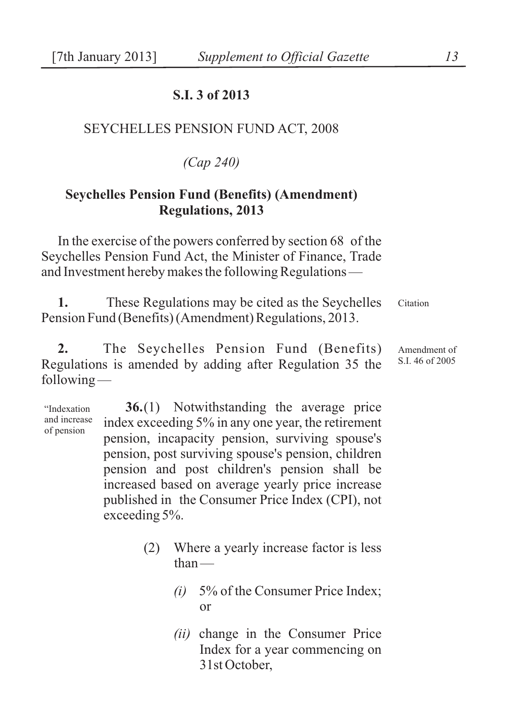## **S.I. 3 of 2013**

## SEYCHELLES PENSION FUND ACT, 2008

*(Cap 240)*

## **Seychelles Pension Fund (Benefits) (Amendment) Regulations, 2013**

In the exercise of the powers conferred by section 68 of the Seychelles Pension Fund Act, the Minister of Finance, Trade and Investment hereby makes the following Regulations —

Citation **1.** These Regulations may be cited as the Seychelles Pension Fund (Benefits) (Amendment) Regulations, 2013.

Amendment of S.I. 46 of 2005 **2.** The Seychelles Pension Fund (Benefits) Regulations is amended by adding after Regulation 35 the following —

"Indexation and increase of pension **36.**(1) Notwithstanding the average price index exceeding 5% in any one year, the retirement pension, incapacity pension, surviving spouse's pension, post surviving spouse's pension, children pension and post children's pension shall be increased based on average yearly price increase published in the Consumer Price Index (CPI), not exceeding 5%.

- (2) Where a yearly increase factor is less than —
	- *(i)* 5% of the Consumer Price Index; or
	- *(ii)* change in the Consumer Price Index for a year commencing on 31st October,